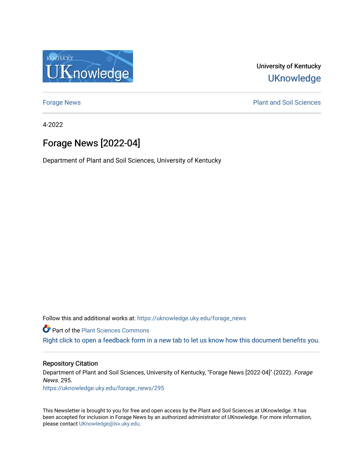

University of Kentucky **UKnowledge** 

[Forage News](https://uknowledge.uky.edu/forage_news) **Plant and Soil Sciences** 

4-2022

# Forage News [2022-04]

Department of Plant and Soil Sciences, University of Kentucky

Follow this and additional works at: [https://uknowledge.uky.edu/forage\\_news](https://uknowledge.uky.edu/forage_news?utm_source=uknowledge.uky.edu%2Fforage_news%2F295&utm_medium=PDF&utm_campaign=PDFCoverPages)

**Part of the [Plant Sciences Commons](http://network.bepress.com/hgg/discipline/102?utm_source=uknowledge.uky.edu%2Fforage_news%2F295&utm_medium=PDF&utm_campaign=PDFCoverPages)** 

[Right click to open a feedback form in a new tab to let us know how this document benefits you.](https://uky.az1.qualtrics.com/jfe/form/SV_9mq8fx2GnONRfz7)

### Repository Citation

Department of Plant and Soil Sciences, University of Kentucky, "Forage News [2022-04]" (2022). Forage News. 295.

[https://uknowledge.uky.edu/forage\\_news/295](https://uknowledge.uky.edu/forage_news/295?utm_source=uknowledge.uky.edu%2Fforage_news%2F295&utm_medium=PDF&utm_campaign=PDFCoverPages)

This Newsletter is brought to you for free and open access by the Plant and Soil Sciences at UKnowledge. It has been accepted for inclusion in Forage News by an authorized administrator of UKnowledge. For more information, please contact [UKnowledge@lsv.uky.edu.](mailto:UKnowledge@lsv.uky.edu)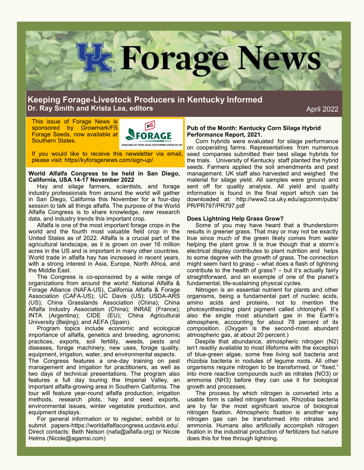

## **Keeping Forage-Livestock Producers in Kentucky Informed Dr. Ray Smith and Krista Lea, editors**

April 2022

This issue of Forage News is sponsored by Growmark/FS Forage Seeds, now available at Southern States.



If you would like to receive this newsletter via email, please visit: https//kyforagenews.com/sign-up/

#### **World Alfalfa Congress to be held in San Diego, California, USA 14-17 November 2022**

Hay and silage farmers, scientists, and forage industry professionals from around the world will gather in San Diego, California this November for a four-day session to talk all things alfalfa. The purpose of the World Alfalfa Congress is to share knowledge, new research data, and industry trends this important crop.

Alfalfa is one of the most important forage crops in the world and the fourth most valuable field crop in the United States as of 2022. Alfalfa is a crucial part of the agricultural landscape, as it is grown on over 16 million acres in the US and is important in many other countries. World trade in alfalfa hay has increased in recent years, with a strong interest in Asia, Europe, North Africa, and the Middle East.

The Congress is co-sponsored by a wide range of organizations from around the world: National Alfalfa & Forage Alliance (NAFA-US), California Alfalfa & Forage Association (CAFA-US); UC Davis (US); USDA-ARS (US); China Grasslands Association (China); China Alfalfa Industry Association (China); INRAE (France); INTA (Argentina); CIDE (EU); China Agricultural University (Beijing); and AEFA (Spain).

Program topics include economic and ecological importance of alfalfa, genetics and breeding, agronomic practices, exports, soil fertility, weeds, pests and diseases, forage machinery, new uses, forage quality, equipment, irrigation, water, and environmental aspects.

The Congress features a one-day training on pest management and irrigation for practitioners, as well as two days of technical presentations. The program also features a full day touring the Imperial Valley, an important alfalfa-growing area in Southern California. The tour will feature year-round alfalfa production, irrigation methods, research plots, hay and seed exports, environmental issues, winter vegetable production, and equipment displays.

For general information or to register, exhibit or to submit papers-https://worldalfalfacongress.ucdavis.edu/. Direct contacts: Beth Nelson (nafa@alfalfa.org) or Nicole Helms (Nicole@agamsi.com)

**Pub of the Month: Kentucky Corn Silage Hybrid Performance Report, 2021.** 

Corn hybrids were evaluated for silage performance on cooperating farms. Representatives from numerous seed companies submitted their best silage hybrids for the trials. University of Kentucky staff planted the hybrid seeds. Farmers applied the soil amendments and pest management. UK staff also harvested and weighed the material for silage yield. All samples were ground and sent off for quality analysis. All yield and quality information is found in the final report which can be downloaded at: http://www2.ca.uky.edu/agcomm/pubs/ PR/PR797/PR797.pdf

#### **Does Lightning Help Grass Grow?**

Some of you may have heard that a thunderstorm results in greener grass. That may or may not be exactly true since much of the green likely comes from water helping the plant grow. It is true though that a storm's electrical display contributes to plant nutrition and helps to some degree with the growth of grass. The connection might seem hard to grasp – what does a flash of lightning contribute to the health of grass? – but it's actually fairly straightforward, and an example of one of the planet's fundamental, life-sustaining physical cycles.

Nitrogen is an essential nutrient for plants and other organisms, being a fundamental part of nucleic acids, amino acids and proteins, not to mention the photosynthesizing plant pigment called chlorophyll. It's also the single most abundant gas in the Earth's atmosphere, accounting for about 78 percent of its composition. (Oxygen is the second-most abundant atmospheric gas, at about 20 percent.)

 Despite that abundance, atmospheric nitrogen (N2) isn't readily available to most lifeforms with the exception of blue-green algae, some free living soil bacteria and rhizobia bacteria in nodules of legume roots. All other organisms require nitrogen to be transformed, or "fixed," into more reactive compounds such as nitrates (NO3) or ammonia (NH3) before they can use it for biological growth and processes.

The process by which nitrogen is converted into a usable form is called nitrogen fixation. Rhizobia bacteria are by far the most significant source of biological nitrogen fixation. Atmospheric fixation is another way nitrogen gas can be transformed into nitrates and ammonia. Humans also artificially accomplish nitrogen fixation in the industrial production of fertilizers but nature does this for free through lightning.